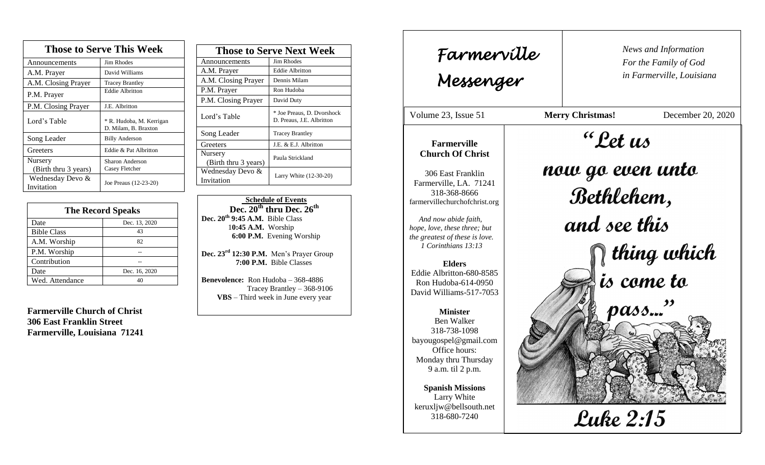| <b>Those to Serve This Week</b> |                                                  |  |
|---------------------------------|--------------------------------------------------|--|
| Announcements                   | <b>Jim Rhodes</b>                                |  |
| A.M. Prayer                     | David Williams                                   |  |
| A.M. Closing Prayer             | <b>Tracey Brantley</b>                           |  |
| P.M. Prayer                     | <b>Eddie Albritton</b>                           |  |
| P.M. Closing Prayer             | J.E. Albritton                                   |  |
| Lord's Table                    | * R. Hudoba, M. Kerrigan<br>D. Milam, B. Braxton |  |
| Song Leader                     | <b>Billy Anderson</b>                            |  |
| Greeters                        | Eddie & Pat Albritton                            |  |
| Nursery                         | Sharon Anderson                                  |  |
| (Birth thru 3 years)            | Casey Fletcher                                   |  |
| Wednesday Devo &<br>Invitation  | Joe Preaus (12-23-20)                            |  |

| <b>The Record Speaks</b> |               |
|--------------------------|---------------|
| Date                     | Dec. 13, 2020 |
| <b>Bible Class</b>       | 43            |
| A.M. Worship             | 82            |
| P.M. Worship             |               |
| Contribution             |               |
| Date                     | Dec. 16, 2020 |
| Wed. Attendance          | 4Ω            |

**Farmerville Church of Christ 306 East Franklin Street Farmerville, Louisiana 71241**

| <b>Those to Serve Next Week</b> |                                                         |
|---------------------------------|---------------------------------------------------------|
| Announcements                   | Jim Rhodes                                              |
| A.M. Prayer                     | Eddie Albritton                                         |
| A.M. Closing Prayer             | Dennis Milam                                            |
| P.M. Prayer                     | Ron Hudoba                                              |
| P.M. Closing Prayer             | David Duty                                              |
| Lord's Table                    | * Joe Preaus, D. Dvorshock<br>D. Preaus, J.E. Albritton |
| Song Leader                     | <b>Tracey Brantley</b>                                  |
| Greeters                        | J.E. & E.J. Albritton                                   |
| Nursery<br>(Birth thru 3 years) | Paula Strickland                                        |
| Wednesday Devo &<br>Invitation  | Larry White (12-30-20)                                  |

 **Schedule of Events Dec. 20th thru Dec. 26th Dec. 20th 9:45 A.M.** Bible Class 1**0:45 A.M.** Worship  **6:00 P.M.** Evening Worship

**Dec. 23rd 12:30 P.M.** Men's Prayer Group **7:00 P.M.** Bible Classes

**Benevolence:** Ron Hudoba – 368-4886 Tracey Brantley – 368-9106 **VBS** – Third week in June every year

*News and Information* **Farmerville**  $\begin{bmatrix} \text{News an} \\ \text{For the} \end{bmatrix}$ *For the Family of God in Farmerville, Louisiana Messenger*  Volume 23, Issue 51 **Merry Christmas!** December 20, 2020 "Let us , 2015 **Farmerville Church Of Christ** now go even unto 306 East Franklin Farmerville, LA. 71241 Bethlehem, 318-368-8666 farmervillechurchofchrist.org and see this *And now abide faith, hope, love, these three; but the greatest of these is love. 1 Corinthians 13:13*  $\bigcap \limits_{i \in S}$  thing which<br>is come to **Elders** Eddie Albritton-680-8585 Ron Hudoba-614-0950 David Williams-517-7053 pass..." **Minister** Ben Walker 318-738-1098 bayougospel@gmail.com Office hours: Monday thru Thursday 9 a.m. til 2 p.m. **Spanish Missions** Larry White keruxljw@bellsouth.net **Luke 2:15** 318-680-7240